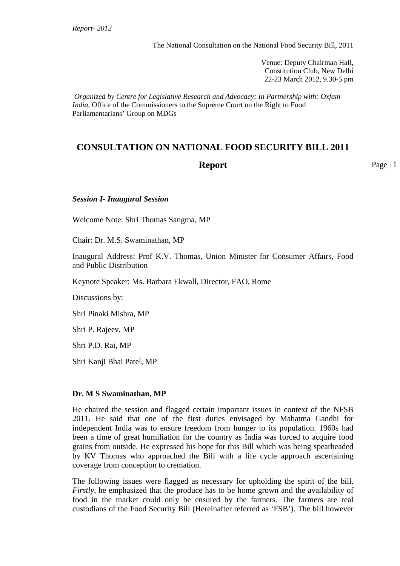Venue: Deputy Chairman Hall, Constitution Club, New Delhi 22-23 March 2012, 9.30-5 pm

*Organized by Centre for Legislative Research and Advocacy; In Partnership with: Oxfam India,* Office of the Commissioners to the Supreme Court on the Right to Food Parliamentarians' Group on MDGs

# **CONSULTATION ON NATIONAL FOOD SECURITY BILL 2011**

# **Report**

Page | 1

#### *Session I***-** *Inaugural Session*

Welcome Note: Shri Thomas Sangma, MP

Chair: Dr. M.S. Swaminathan, MP

Inaugural Address: Prof K.V. Thomas, Union Minister for Consumer Affairs, Food and Public Distribution

Keynote Speaker: Ms. Barbara Ekwall, Director, FAO, Rome

Discussions by:

Shri Pinaki Mishra, MP

Shri P. Rajeev, MP

Shri P.D. Rai, MP

Shri Kanji Bhai Patel, MP

#### **Dr. M S Swaminathan, MP**

He chaired the session and flagged certain important issues in context of the NFSB 2011. He said that one of the first duties envisaged by Mahatma Gandhi for independent India was to ensure freedom from hunger to its population. 1960s had been a time of great humiliation for the country as India was forced to acquire food grains from outside. He expressed his hope for this Bill which was being spearheaded by KV Thomas who approached the Bill with a life cycle approach ascertaining coverage from conception to cremation.

The following issues were flagged as necessary for upholding the spirit of the bill. *Firstly*, he emphasized that the produce has to be home grown and the availability of food in the market could only be ensured by the farmers. The farmers are real custodians of the Food Security Bill (Hereinafter referred as 'FSB'). The bill however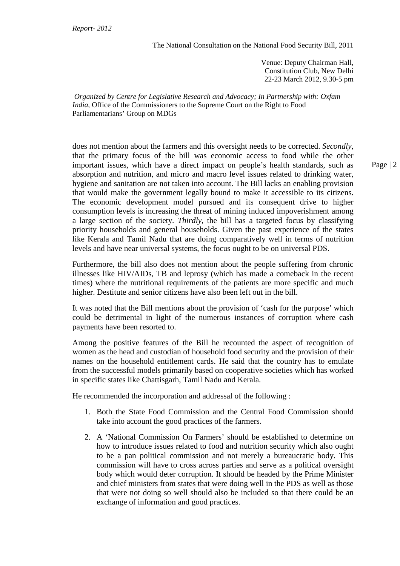Venue: Deputy Chairman Hall, Constitution Club, New Delhi 22-23 March 2012, 9.30-5 pm

*Organized by Centre for Legislative Research and Advocacy; In Partnership with: Oxfam India,* Office of the Commissioners to the Supreme Court on the Right to Food Parliamentarians' Group on MDGs

does not mention about the farmers and this oversight needs to be corrected. *Secondly*, that the primary focus of the bill was economic access to food while the other important issues, which have a direct impact on people's health standards, such as absorption and nutrition, and micro and macro level issues related to drinking water, hygiene and sanitation are not taken into account. The Bill lacks an enabling provision that would make the government legally bound to make it accessible to its citizens. The economic development model pursued and its consequent drive to higher consumption levels is increasing the threat of mining induced impoverishment among a large section of the society. *Thirdly*, the bill has a targeted focus by classifying priority households and general households. Given the past experience of the states like Kerala and Tamil Nadu that are doing comparatively well in terms of nutrition levels and have near universal systems, the focus ought to be on universal PDS.

Furthermore, the bill also does not mention about the people suffering from chronic illnesses like HIV/AIDs, TB and leprosy (which has made a comeback in the recent times) where the nutritional requirements of the patients are more specific and much higher. Destitute and senior citizens have also been left out in the bill.

It was noted that the Bill mentions about the provision of 'cash for the purpose' which could be detrimental in light of the numerous instances of corruption where cash payments have been resorted to.

Among the positive features of the Bill he recounted the aspect of recognition of women as the head and custodian of household food security and the provision of their names on the household entitlement cards. He said that the country has to emulate from the successful models primarily based on cooperative societies which has worked in specific states like Chattisgarh, Tamil Nadu and Kerala.

He recommended the incorporation and addressal of the following :

- 1. Both the State Food Commission and the Central Food Commission should take into account the good practices of the farmers.
- 2. A 'National Commission On Farmers' should be established to determine on how to introduce issues related to food and nutrition security which also ought to be a pan political commission and not merely a bureaucratic body. This commission will have to cross across parties and serve as a political oversight body which would deter corruption. It should be headed by the Prime Minister and chief ministers from states that were doing well in the PDS as well as those that were not doing so well should also be included so that there could be an exchange of information and good practices.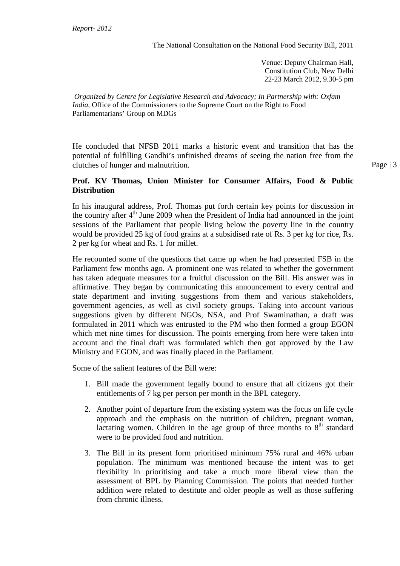Venue: Deputy Chairman Hall, Constitution Club, New Delhi 22-23 March 2012, 9.30-5 pm

*Organized by Centre for Legislative Research and Advocacy; In Partnership with: Oxfam India,* Office of the Commissioners to the Supreme Court on the Right to Food Parliamentarians' Group on MDGs

He concluded that NFSB 2011 marks a historic event and transition that has the potential of fulfilling Gandhi's unfinished dreams of seeing the nation free from the clutches of hunger and malnutrition.

### **Prof. KV Thomas, Union Minister for Consumer Affairs, Food & Public Distribution**

In his inaugural address, Prof. Thomas put forth certain key points for discussion in the country after  $4<sup>th</sup>$  June 2009 when the President of India had announced in the joint sessions of the Parliament that people living below the poverty line in the country would be provided 25 kg of food grains at a subsidised rate of Rs. 3 per kg for rice, Rs. 2 per kg for wheat and Rs. 1 for millet.

He recounted some of the questions that came up when he had presented FSB in the Parliament few months ago. A prominent one was related to whether the government has taken adequate measures for a fruitful discussion on the Bill. His answer was in affirmative. They began by communicating this announcement to every central and state department and inviting suggestions from them and various stakeholders, government agencies, as well as civil society groups. Taking into account various suggestions given by different NGOs, NSA, and Prof Swaminathan, a draft was formulated in 2011 which was entrusted to the PM who then formed a group EGON which met nine times for discussion. The points emerging from here were taken into account and the final draft was formulated which then got approved by the Law Ministry and EGON, and was finally placed in the Parliament.

Some of the salient features of the Bill were:

- 1. Bill made the government legally bound to ensure that all citizens got their entitlements of 7 kg per person per month in the BPL category.
- 2. Another point of departure from the existing system was the focus on life cycle approach and the emphasis on the nutrition of children, pregnant woman, lactating women. Children in the age group of three months to  $8<sup>th</sup>$  standard were to be provided food and nutrition.
- 3. The Bill in its present form prioritised minimum 75% rural and 46% urban population. The minimum was mentioned because the intent was to get flexibility in prioritising and take a much more liberal view than the assessment of BPL by Planning Commission. The points that needed further addition were related to destitute and older people as well as those suffering from chronic illness.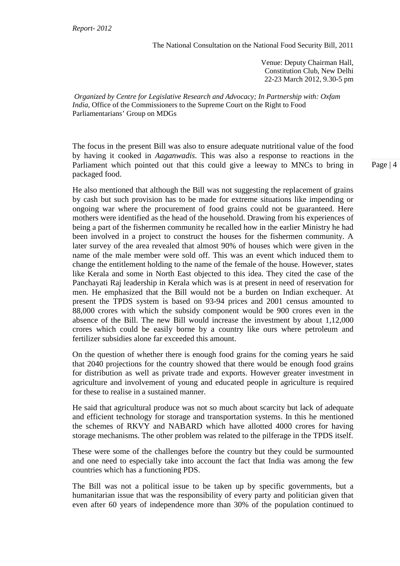Venue: Deputy Chairman Hall, Constitution Club, New Delhi 22-23 March 2012, 9.30-5 pm

*Organized by Centre for Legislative Research and Advocacy; In Partnership with: Oxfam India,* Office of the Commissioners to the Supreme Court on the Right to Food Parliamentarians' Group on MDGs

The focus in the present Bill was also to ensure adequate nutritional value of the food by having it cooked in *Aaganwadis*. This was also a response to reactions in the Parliament which pointed out that this could give a leeway to MNCs to bring in packaged food.

He also mentioned that although the Bill was not suggesting the replacement of grains by cash but such provision has to be made for extreme situations like impending or ongoing war where the procurement of food grains could not be guaranteed. Here mothers were identified as the head of the household. Drawing from his experiences of being a part of the fishermen community he recalled how in the earlier Ministry he had been involved in a project to construct the houses for the fishermen community. A later survey of the area revealed that almost 90% of houses which were given in the name of the male member were sold off. This was an event which induced them to change the entitlement holding to the name of the female of the house. However, states like Kerala and some in North East objected to this idea. They cited the case of the Panchayati Raj leadership in Kerala which was is at present in need of reservation for men. He emphasized that the Bill would not be a burden on Indian exchequer. At present the TPDS system is based on 93-94 prices and 2001 census amounted to 88,000 crores with which the subsidy component would be 900 crores even in the absence of the Bill. The new Bill would increase the investment by about 1,12,000 crores which could be easily borne by a country like ours where petroleum and fertilizer subsidies alone far exceeded this amount.

On the question of whether there is enough food grains for the coming years he said that 2040 projections for the country showed that there would be enough food grains for distribution as well as private trade and exports. However greater investment in agriculture and involvement of young and educated people in agriculture is required for these to realise in a sustained manner.

He said that agricultural produce was not so much about scarcity but lack of adequate and efficient technology for storage and transportation systems. In this he mentioned the schemes of RKVY and NABARD which have allotted 4000 crores for having storage mechanisms. The other problem was related to the pilferage in the TPDS itself.

These were some of the challenges before the country but they could be surmounted and one need to especially take into account the fact that India was among the few countries which has a functioning PDS.

The Bill was not a political issue to be taken up by specific governments, but a humanitarian issue that was the responsibility of every party and politician given that even after 60 years of independence more than 30% of the population continued to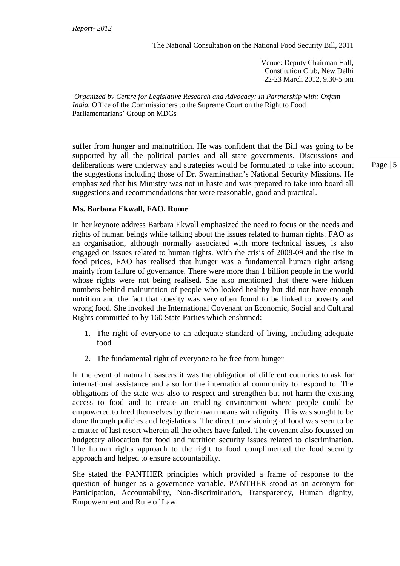Venue: Deputy Chairman Hall, Constitution Club, New Delhi 22-23 March 2012, 9.30-5 pm

*Organized by Centre for Legislative Research and Advocacy; In Partnership with: Oxfam India,* Office of the Commissioners to the Supreme Court on the Right to Food Parliamentarians' Group on MDGs

suffer from hunger and malnutrition. He was confident that the Bill was going to be supported by all the political parties and all state governments. Discussions and deliberations were underway and strategies would be formulated to take into account the suggestions including those of Dr. Swaminathan's National Security Missions. He emphasized that his Ministry was not in haste and was prepared to take into board all suggestions and recommendations that were reasonable, good and practical.

#### **Ms. Barbara Ekwall, FAO, Rome**

In her keynote address Barbara Ekwall emphasized the need to focus on the needs and rights of human beings while talking about the issues related to human rights. FAO as an organisation, although normally associated with more technical issues, is also engaged on issues related to human rights. With the crisis of 2008-09 and the rise in food prices, FAO has realised that hunger was a fundamental human right arisng mainly from failure of governance. There were more than 1 billion people in the world whose rights were not being realised. She also mentioned that there were hidden numbers behind malnutrition of people who looked healthy but did not have enough nutrition and the fact that obesity was very often found to be linked to poverty and wrong food. She invoked the International Covenant on Economic, Social and Cultural Rights committed to by 160 State Parties which enshrined:

- 1. The right of everyone to an adequate standard of living, including adequate food
- 2. The fundamental right of everyone to be free from hunger

In the event of natural disasters it was the obligation of different countries to ask for international assistance and also for the international community to respond to. The obligations of the state was also to respect and strengthen but not harm the existing access to food and to create an enabling environment where people could be empowered to feed themselves by their own means with dignity. This was sought to be done through policies and legislations. The direct provisioning of food was seen to be a matter of last resort wherein all the others have failed. The covenant also focussed on budgetary allocation for food and nutrition security issues related to discrimination. The human rights approach to the right to food complimented the food security approach and helped to ensure accountability.

She stated the PANTHER principles which provided a frame of response to the question of hunger as a governance variable. PANTHER stood as an acronym for Participation, Accountability, Non-discrimination, Transparency, Human dignity, Empowerment and Rule of Law.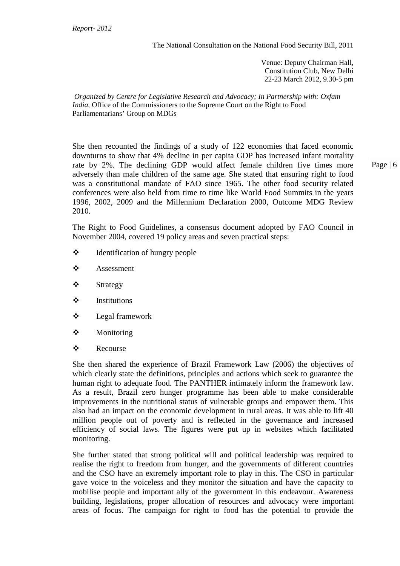Venue: Deputy Chairman Hall, Constitution Club, New Delhi 22-23 March 2012, 9.30-5 pm

*Organized by Centre for Legislative Research and Advocacy; In Partnership with: Oxfam India,* Office of the Commissioners to the Supreme Court on the Right to Food Parliamentarians' Group on MDGs

She then recounted the findings of a study of 122 economies that faced economic downturns to show that 4% decline in per capita GDP has increased infant mortality rate by 2%. The declining GDP would affect female children five times more adversely than male children of the same age. She stated that ensuring right to food was a constitutional mandate of FAO since 1965. The other food security related conferences were also held from time to time like World Food Summits in the years 1996, 2002, 2009 and the Millennium Declaration 2000, Outcome MDG Review 2010.

The Right to Food Guidelines, a consensus document adopted by FAO Council in November 2004, covered 19 policy areas and seven practical steps:

- Identification of hungry people
- ❖ Assessment
- Strategy
- $\triangle$  Institutions
- Legal framework
- **\*** Monitoring
- Recourse

She then shared the experience of Brazil Framework Law (2006) the objectives of which clearly state the definitions, principles and actions which seek to guarantee the human right to adequate food. The PANTHER intimately inform the framework law. As a result, Brazil zero hunger programme has been able to make considerable improvements in the nutritional status of vulnerable groups and empower them. This also had an impact on the economic development in rural areas. It was able to lift 40 million people out of poverty and is reflected in the governance and increased efficiency of social laws. The figures were put up in websites which facilitated monitoring.

She further stated that strong political will and political leadership was required to realise the right to freedom from hunger, and the governments of different countries and the CSO have an extremely important role to play in this. The CSO in particular gave voice to the voiceless and they monitor the situation and have the capacity to mobilise people and important ally of the government in this endeavour. Awareness building, legislations, proper allocation of resources and advocacy were important areas of focus. The campaign for right to food has the potential to provide the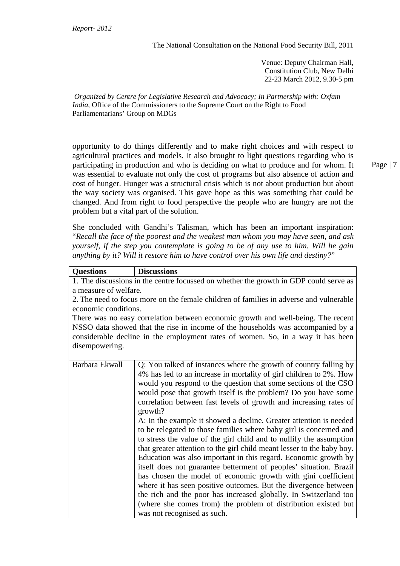Venue: Deputy Chairman Hall, Constitution Club, New Delhi 22-23 March 2012, 9.30-5 pm

*Organized by Centre for Legislative Research and Advocacy; In Partnership with: Oxfam India,* Office of the Commissioners to the Supreme Court on the Right to Food Parliamentarians' Group on MDGs

opportunity to do things differently and to make right choices and with respect to agricultural practices and models. It also brought to light questions regarding who is participating in production and who is deciding on what to produce and for whom. It was essential to evaluate not only the cost of programs but also absence of action and cost of hunger. Hunger was a structural crisis which is not about production but about the way society was organised. This gave hope as this was something that could be changed. And from right to food perspective the people who are hungry are not the problem but a vital part of the solution.

She concluded with Gandhi's Talisman, which has been an important inspiration: "*Recall the face of the poorest and the weakest man whom you may have seen, and ask yourself, if the step you contemplate is going to be of any use to him. Will he gain anything by it? Will it restore him to have control over his own life and destiny?*"

| <b>Questions</b>                                                                       | <b>Discussions</b>                                                           |  |
|----------------------------------------------------------------------------------------|------------------------------------------------------------------------------|--|
| 1. The discussions in the centre focussed on whether the growth in GDP could serve as  |                                                                              |  |
| a measure of welfare.                                                                  |                                                                              |  |
| 2. The need to focus more on the female children of families in adverse and vulnerable |                                                                              |  |
| economic conditions.                                                                   |                                                                              |  |
| There was no easy correlation between economic growth and well-being. The recent       |                                                                              |  |
| NSSO data showed that the rise in income of the households was accompanied by a        |                                                                              |  |
| considerable decline in the employment rates of women. So, in a way it has been        |                                                                              |  |
| disempowering.                                                                         |                                                                              |  |
|                                                                                        |                                                                              |  |
| Barbara Ekwall                                                                         | Q: You talked of instances where the growth of country falling by            |  |
|                                                                                        | 4% has led to an increase in mortality of girl children to 2%. How           |  |
|                                                                                        | would you respond to the question that some sections of the CSO              |  |
|                                                                                        | would pose that growth itself is the problem? Do you have some               |  |
|                                                                                        | correlation between fast levels of growth and increasing rates of<br>growth? |  |
|                                                                                        | A: In the example it showed a decline. Greater attention is needed           |  |
|                                                                                        | to be relegated to those families where baby girl is concerned and           |  |
|                                                                                        | to stress the value of the girl child and to nullify the assumption          |  |
|                                                                                        | that greater attention to the girl child meant lesser to the baby boy.       |  |
|                                                                                        | Education was also important in this regard. Economic growth by              |  |
|                                                                                        | itself does not guarantee betterment of peoples' situation. Brazil           |  |
|                                                                                        | has chosen the model of economic growth with gini coefficient                |  |
|                                                                                        | where it has seen positive outcomes. But the divergence between              |  |
|                                                                                        | the rich and the poor has increased globally. In Switzerland too             |  |
|                                                                                        | (where she comes from) the problem of distribution existed but               |  |
|                                                                                        | was not recognised as such.                                                  |  |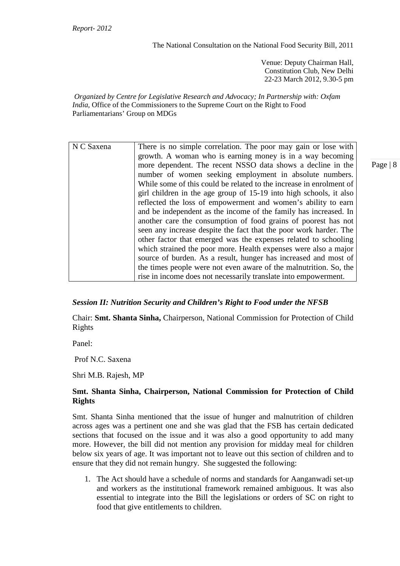Venue: Deputy Chairman Hall, Constitution Club, New Delhi 22-23 March 2012, 9.30-5 pm

*Organized by Centre for Legislative Research and Advocacy; In Partnership with: Oxfam India,* Office of the Commissioners to the Supreme Court on the Right to Food Parliamentarians' Group on MDGs

| N C Saxena | There is no simple correlation. The poor may gain or lose with      |
|------------|---------------------------------------------------------------------|
|            | growth. A woman who is earning money is in a way becoming           |
|            | more dependent. The recent NSSO data shows a decline in the         |
|            | number of women seeking employment in absolute numbers.             |
|            | While some of this could be related to the increase in enrolment of |
|            | girl children in the age group of 15-19 into high schools, it also  |
|            | reflected the loss of empowerment and women's ability to earn       |
|            | and be independent as the income of the family has increased. In    |
|            | another care the consumption of food grains of poorest has not      |
|            | seen any increase despite the fact that the poor work harder. The   |
|            | other factor that emerged was the expenses related to schooling     |
|            | which strained the poor more. Health expenses were also a major     |
|            | source of burden. As a result, hunger has increased and most of     |
|            | the times people were not even aware of the malnutrition. So, the   |
|            | rise in income does not necessarily translate into empowerment.     |

# *Session II: Nutrition Security and Children's Right to Food under the NFSB*

Chair: **Smt. Shanta Sinha,** Chairperson, National Commission for Protection of Child Rights

Panel:

Prof N.C. Saxena

Shri M.B. Rajesh, MP

# **Smt. Shanta Sinha, Chairperson, National Commission for Protection of Child Rights**

Smt. Shanta Sinha mentioned that the issue of hunger and malnutrition of children across ages was a pertinent one and she was glad that the FSB has certain dedicated sections that focused on the issue and it was also a good opportunity to add many more. However, the bill did not mention any provision for midday meal for children below six years of age. It was important not to leave out this section of children and to ensure that they did not remain hungry. She suggested the following:

1. The Act should have a schedule of norms and standards for Aanganwadi set-up and workers as the institutional framework remained ambiguous. It was also essential to integrate into the Bill the legislations or orders of SC on right to food that give entitlements to children.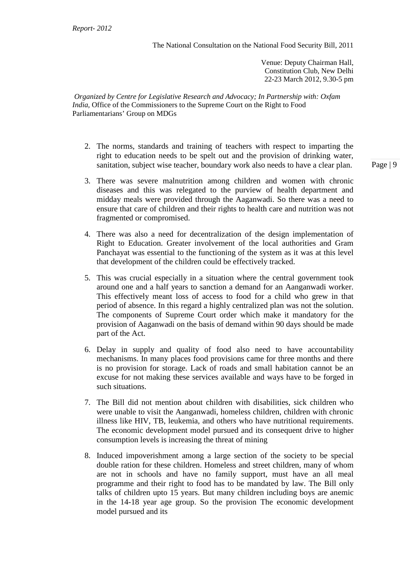Venue: Deputy Chairman Hall, Constitution Club, New Delhi 22-23 March 2012, 9.30-5 pm

*Organized by Centre for Legislative Research and Advocacy; In Partnership with: Oxfam India,* Office of the Commissioners to the Supreme Court on the Right to Food Parliamentarians' Group on MDGs

- 2. The norms, standards and training of teachers with respect to imparting the right to education needs to be spelt out and the provision of drinking water, sanitation, subject wise teacher, boundary work also needs to have a clear plan.
- 3. There was severe malnutrition among children and women with chronic diseases and this was relegated to the purview of health department and midday meals were provided through the Aaganwadi. So there was a need to ensure that care of children and their rights to health care and nutrition was not fragmented or compromised.
- 4. There was also a need for decentralization of the design implementation of Right to Education. Greater involvement of the local authorities and Gram Panchayat was essential to the functioning of the system as it was at this level that development of the children could be effectively tracked.
- 5. This was crucial especially in a situation where the central government took around one and a half years to sanction a demand for an Aanganwadi worker. This effectively meant loss of access to food for a child who grew in that period of absence. In this regard a highly centralized plan was not the solution. The components of Supreme Court order which make it mandatory for the provision of Aaganwadi on the basis of demand within 90 days should be made part of the Act.
- 6. Delay in supply and quality of food also need to have accountability mechanisms. In many places food provisions came for three months and there is no provision for storage. Lack of roads and small habitation cannot be an excuse for not making these services available and ways have to be forged in such situations.
- 7. The Bill did not mention about children with disabilities, sick children who were unable to visit the Aanganwadi, homeless children, children with chronic illness like HIV, TB, leukemia, and others who have nutritional requirements. The economic development model pursued and its consequent drive to higher consumption levels is increasing the threat of mining
- 8. Induced impoverishment among a large section of the society to be special double ration for these children. Homeless and street children, many of whom are not in schools and have no family support, must have an all meal programme and their right to food has to be mandated by law. The Bill only talks of children upto 15 years. But many children including boys are anemic in the 14-18 year age group. So the provision The economic development model pursued and its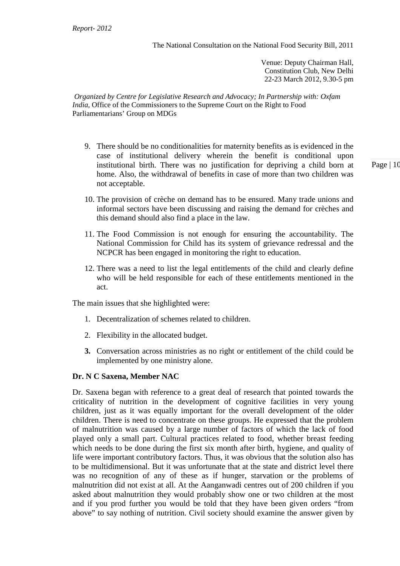Venue: Deputy Chairman Hall, Constitution Club, New Delhi 22-23 March 2012, 9.30-5 pm

*Organized by Centre for Legislative Research and Advocacy; In Partnership with: Oxfam India,* Office of the Commissioners to the Supreme Court on the Right to Food Parliamentarians' Group on MDGs

- 9. There should be no conditionalities for maternity benefits as is evidenced in the case of institutional delivery wherein the benefit is conditional upon institutional birth. There was no justification for depriving a child born at home. Also, the withdrawal of benefits in case of more than two children was not acceptable.
- 10. The provision of crèche on demand has to be ensured. Many trade unions and informal sectors have been discussing and raising the demand for crèches and this demand should also find a place in the law.
- 11. The Food Commission is not enough for ensuring the accountability. The National Commission for Child has its system of grievance redressal and the NCPCR has been engaged in monitoring the right to education.
- 12. There was a need to list the legal entitlements of the child and clearly define who will be held responsible for each of these entitlements mentioned in the act.

The main issues that she highlighted were:

- 1. Decentralization of schemes related to children.
- 2. Flexibility in the allocated budget.
- **3.** Conversation across ministries as no right or entitlement of the child could be implemented by one ministry alone.

# **Dr. N C Saxena, Member NAC**

Dr. Saxena began with reference to a great deal of research that pointed towards the criticality of nutrition in the development of cognitive facilities in very young children, just as it was equally important for the overall development of the older children. There is need to concentrate on these groups. He expressed that the problem of malnutrition was caused by a large number of factors of which the lack of food played only a small part. Cultural practices related to food, whether breast feeding which needs to be done during the first six month after birth, hygiene, and quality of life were important contributory factors. Thus, it was obvious that the solution also has to be multidimensional. But it was unfortunate that at the state and district level there was no recognition of any of these as if hunger, starvation or the problems of malnutrition did not exist at all. At the Aanganwadi centres out of 200 children if you asked about malnutrition they would probably show one or two children at the most and if you prod further you would be told that they have been given orders "from above" to say nothing of nutrition. Civil society should examine the answer given by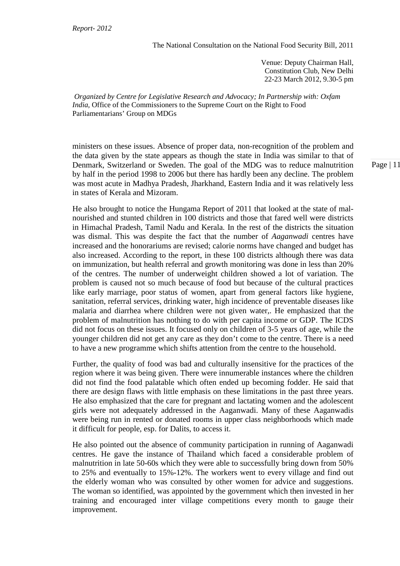Venue: Deputy Chairman Hall, Constitution Club, New Delhi 22-23 March 2012, 9.30-5 pm

*Organized by Centre for Legislative Research and Advocacy; In Partnership with: Oxfam India,* Office of the Commissioners to the Supreme Court on the Right to Food Parliamentarians' Group on MDGs

ministers on these issues. Absence of proper data, non-recognition of the problem and the data given by the state appears as though the state in India was similar to that of Denmark, Switzerland or Sweden. The goal of the MDG was to reduce malnutrition by half in the period 1998 to 2006 but there has hardly been any decline. The problem was most acute in Madhya Pradesh, Jharkhand, Eastern India and it was relatively less in states of Kerala and Mizoram.

He also brought to notice the Hungama Report of 2011 that looked at the state of malnourished and stunted children in 100 districts and those that fared well were districts in Himachal Pradesh, Tamil Nadu and Kerala. In the rest of the districts the situation was dismal. This was despite the fact that the number of *Aaganwadi* centres have increased and the honorariums are revised; calorie norms have changed and budget has also increased. According to the report, in these 100 districts although there was data on immunization, but health referral and growth monitoring was done in less than 20% of the centres. The number of underweight children showed a lot of variation. The problem is caused not so much because of food but because of the cultural practices like early marriage, poor status of women, apart from general factors like hygiene, sanitation, referral services, drinking water, high incidence of preventable diseases like malaria and diarrhea where children were not given water,. He emphasized that the problem of malnutrition has nothing to do with per capita income or GDP. The ICDS did not focus on these issues. It focused only on children of 3-5 years of age, while the younger children did not get any care as they don't come to the centre. There is a need to have a new programme which shifts attention from the centre to the household.

Further, the quality of food was bad and culturally insensitive for the practices of the region where it was being given. There were innumerable instances where the children did not find the food palatable which often ended up becoming fodder. He said that there are design flaws with little emphasis on these limitations in the past three years. He also emphasized that the care for pregnant and lactating women and the adolescent girls were not adequately addressed in the Aaganwadi. Many of these Aaganwadis were being run in rented or donated rooms in upper class neighborhoods which made it difficult for people, esp. for Dalits, to access it.

He also pointed out the absence of community participation in running of Aaganwadi centres. He gave the instance of Thailand which faced a considerable problem of malnutrition in late 50-60s which they were able to successfully bring down from 50% to 25% and eventually to 15%-12%. The workers went to every village and find out the elderly woman who was consulted by other women for advice and suggestions. The woman so identified, was appointed by the government which then invested in her training and encouraged inter village competitions every month to gauge their improvement.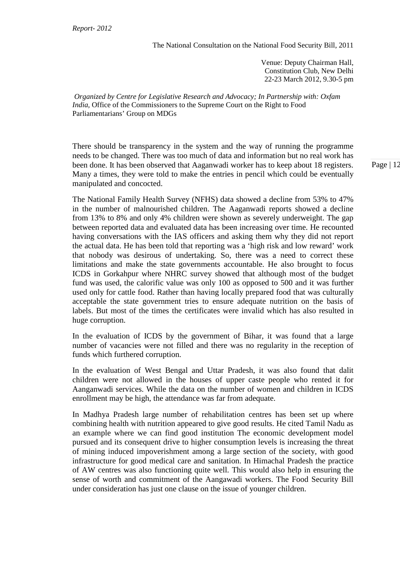Venue: Deputy Chairman Hall, Constitution Club, New Delhi 22-23 March 2012, 9.30-5 pm

*Organized by Centre for Legislative Research and Advocacy; In Partnership with: Oxfam India,* Office of the Commissioners to the Supreme Court on the Right to Food Parliamentarians' Group on MDGs

There should be transparency in the system and the way of running the programme needs to be changed. There was too much of data and information but no real work has been done. It has been observed that Aaganwadi worker has to keep about 18 registers. Many a times, they were told to make the entries in pencil which could be eventually manipulated and concocted.

The National Family Health Survey (NFHS) data showed a decline from 53% to 47% in the number of malnourished children. The Aaganwadi reports showed a decline from 13% to 8% and only 4% children were shown as severely underweight. The gap between reported data and evaluated data has been increasing over time. He recounted having conversations with the IAS officers and asking them why they did not report the actual data. He has been told that reporting was a 'high risk and low reward' work that nobody was desirous of undertaking. So, there was a need to correct these limitations and make the state governments accountable. He also brought to focus ICDS in Gorkahpur where NHRC survey showed that although most of the budget fund was used, the calorific value was only 100 as opposed to 500 and it was further used only for cattle food. Rather than having locally prepared food that was culturally acceptable the state government tries to ensure adequate nutrition on the basis of labels. But most of the times the certificates were invalid which has also resulted in huge corruption.

In the evaluation of ICDS by the government of Bihar, it was found that a large number of vacancies were not filled and there was no regularity in the reception of funds which furthered corruption.

In the evaluation of West Bengal and Uttar Pradesh, it was also found that dalit children were not allowed in the houses of upper caste people who rented it for Aanganwadi services. While the data on the number of women and children in ICDS enrollment may be high, the attendance was far from adequate.

In Madhya Pradesh large number of rehabilitation centres has been set up where combining health with nutrition appeared to give good results. He cited Tamil Nadu as an example where we can find good institution The economic development model pursued and its consequent drive to higher consumption levels is increasing the threat of mining induced impoverishment among a large section of the society, with good infrastructure for good medical care and sanitation. In Himachal Pradesh the practice of AW centres was also functioning quite well. This would also help in ensuring the sense of worth and commitment of the Aangawadi workers. The Food Security Bill under consideration has just one clause on the issue of younger children.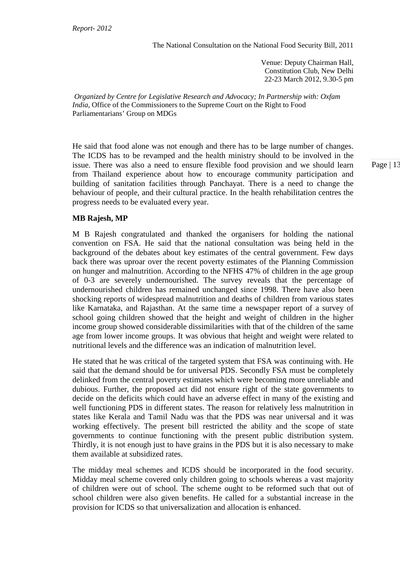Venue: Deputy Chairman Hall, Constitution Club, New Delhi 22-23 March 2012, 9.30-5 pm

*Organized by Centre for Legislative Research and Advocacy; In Partnership with: Oxfam India,* Office of the Commissioners to the Supreme Court on the Right to Food Parliamentarians' Group on MDGs

He said that food alone was not enough and there has to be large number of changes. The ICDS has to be revamped and the health ministry should to be involved in the issue. There was also a need to ensure flexible food provision and we should learn from Thailand experience about how to encourage community participation and building of sanitation facilities through Panchayat. There is a need to change the behaviour of people, and their cultural practice. In the health rehabilitation centres the progress needs to be evaluated every year.

**MB Rajesh, MP** 

M B Rajesh congratulated and thanked the organisers for holding the national convention on FSA. He said that the national consultation was being held in the background of the debates about key estimates of the central government. Few days back there was uproar over the recent poverty estimates of the Planning Commission on hunger and malnutrition. According to the NFHS 47% of children in the age group of 0-3 are severely undernourished. The survey reveals that the percentage of undernourished children has remained unchanged since 1998. There have also been shocking reports of widespread malnutrition and deaths of children from various states like Karnataka, and Rajasthan. At the same time a newspaper report of a survey of school going children showed that the height and weight of children in the higher income group showed considerable dissimilarities with that of the children of the same age from lower income groups. It was obvious that height and weight were related to nutritional levels and the difference was an indication of malnutrition level.

He stated that he was critical of the targeted system that FSA was continuing with. He said that the demand should be for universal PDS. Secondly FSA must be completely delinked from the central poverty estimates which were becoming more unreliable and dubious. Further, the proposed act did not ensure right of the state governments to decide on the deficits which could have an adverse effect in many of the existing and well functioning PDS in different states. The reason for relatively less malnutrition in states like Kerala and Tamil Nadu was that the PDS was near universal and it was working effectively. The present bill restricted the ability and the scope of state governments to continue functioning with the present public distribution system. Thirdly, it is not enough just to have grains in the PDS but it is also necessary to make them available at subsidized rates.

The midday meal schemes and ICDS should be incorporated in the food security. Midday meal scheme covered only children going to schools whereas a vast majority of children were out of school. The scheme ought to be reformed such that out of school children were also given benefits. He called for a substantial increase in the provision for ICDS so that universalization and allocation is enhanced.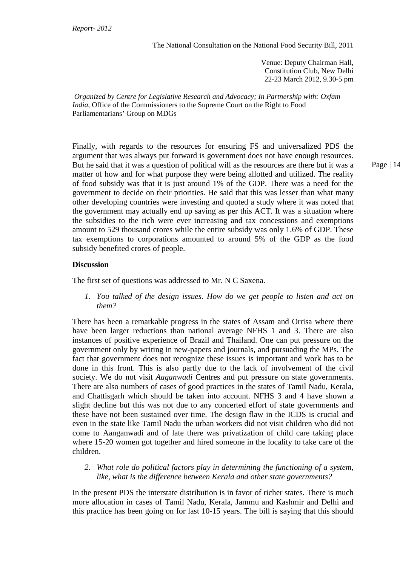Venue: Deputy Chairman Hall, Constitution Club, New Delhi 22-23 March 2012, 9.30-5 pm

*Organized by Centre for Legislative Research and Advocacy; In Partnership with: Oxfam India,* Office of the Commissioners to the Supreme Court on the Right to Food Parliamentarians' Group on MDGs

Finally, with regards to the resources for ensuring FS and universalized PDS the argument that was always put forward is government does not have enough resources. But he said that it was a question of political will as the resources are there but it was a matter of how and for what purpose they were being allotted and utilized. The reality of food subsidy was that it is just around 1% of the GDP. There was a need for the government to decide on their priorities. He said that this was lesser than what many other developing countries were investing and quoted a study where it was noted that the government may actually end up saving as per this ACT. It was a situation where the subsidies to the rich were ever increasing and tax concessions and exemptions amount to 529 thousand crores while the entire subsidy was only 1.6% of GDP. These tax exemptions to corporations amounted to around 5% of the GDP as the food subsidy benefited crores of people.

### **Discussion**

The first set of questions was addressed to Mr. N C Saxena.

*1. You talked of the design issues. How do we get people to listen and act on them?* 

There has been a remarkable progress in the states of Assam and Orrisa where there have been larger reductions than national average NFHS 1 and 3. There are also instances of positive experience of Brazil and Thailand. One can put pressure on the government only by writing in new-papers and journals, and pursuading the MPs. The fact that government does not recognize these issues is important and work has to be done in this front. This is also partly due to the lack of involvement of the civil society. We do not visit *Aaganwadi* Centres and put pressure on state governments. There are also numbers of cases of good practices in the states of Tamil Nadu, Kerala, and Chattisgarh which should be taken into account. NFHS 3 and 4 have shown a slight decline but this was not due to any concerted effort of state governments and these have not been sustained over time. The design flaw in the ICDS is crucial and even in the state like Tamil Nadu the urban workers did not visit children who did not come to Aanganwadi and of late there was privatization of child care taking place where 15-20 women got together and hired someone in the locality to take care of the children.

*2. What role do political factors play in determining the functioning of a system, like, what is the difference between Kerala and other state governments?* 

In the present PDS the interstate distribution is in favor of richer states. There is much more allocation in cases of Tamil Nadu, Kerala, Jammu and Kashmir and Delhi and this practice has been going on for last 10-15 years. The bill is saying that this should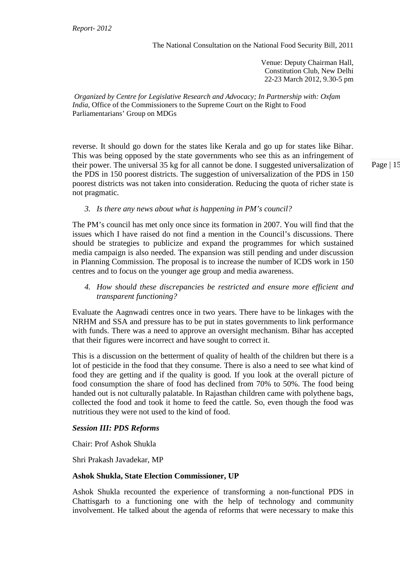Venue: Deputy Chairman Hall, Constitution Club, New Delhi 22-23 March 2012, 9.30-5 pm

*Organized by Centre for Legislative Research and Advocacy; In Partnership with: Oxfam India,* Office of the Commissioners to the Supreme Court on the Right to Food Parliamentarians' Group on MDGs

reverse. It should go down for the states like Kerala and go up for states like Bihar. This was being opposed by the state governments who see this as an infringement of their power. The universal 35 kg for all cannot be done. I suggested universalization of the PDS in 150 poorest districts. The suggestion of universalization of the PDS in 150 poorest districts was not taken into consideration. Reducing the quota of richer state is not pragmatic.

*3. Is there any news about what is happening in PM's council?* 

The PM's council has met only once since its formation in 2007. You will find that the issues which I have raised do not find a mention in the Council's discussions. There should be strategies to publicize and expand the programmes for which sustained media campaign is also needed. The expansion was still pending and under discussion in Planning Commission. The proposal is to increase the number of ICDS work in 150 centres and to focus on the younger age group and media awareness.

*4. How should these discrepancies be restricted and ensure more efficient and transparent functioning?* 

Evaluate the Aagnwadi centres once in two years. There have to be linkages with the NRHM and SSA and pressure has to be put in states governments to link performance with funds. There was a need to approve an oversight mechanism. Bihar has accepted that their figures were incorrect and have sought to correct it.

This is a discussion on the betterment of quality of health of the children but there is a lot of pesticide in the food that they consume. There is also a need to see what kind of food they are getting and if the quality is good. If you look at the overall picture of food consumption the share of food has declined from 70% to 50%. The food being handed out is not culturally palatable. In Rajasthan children came with polythene bags, collected the food and took it home to feed the cattle. So, even though the food was nutritious they were not used to the kind of food.

#### *Session III: PDS Reforms*

Chair: Prof Ashok Shukla

Shri Prakash Javadekar, MP

#### **Ashok Shukla, State Election Commissioner, UP**

Ashok Shukla recounted the experience of transforming a non-functional PDS in Chattisgarh to a functioning one with the help of technology and community involvement. He talked about the agenda of reforms that were necessary to make this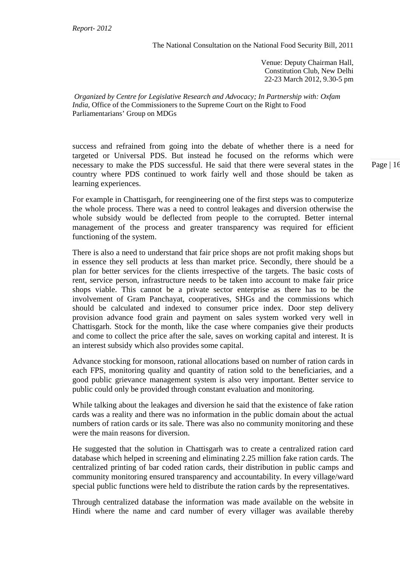Venue: Deputy Chairman Hall, Constitution Club, New Delhi 22-23 March 2012, 9.30-5 pm

*Organized by Centre for Legislative Research and Advocacy; In Partnership with: Oxfam India,* Office of the Commissioners to the Supreme Court on the Right to Food Parliamentarians' Group on MDGs

success and refrained from going into the debate of whether there is a need for targeted or Universal PDS. But instead he focused on the reforms which were necessary to make the PDS successful. He said that there were several states in the country where PDS continued to work fairly well and those should be taken as learning experiences.

For example in Chattisgarh, for reengineering one of the first steps was to computerize the whole process. There was a need to control leakages and diversion otherwise the whole subsidy would be deflected from people to the corrupted. Better internal management of the process and greater transparency was required for efficient functioning of the system.

There is also a need to understand that fair price shops are not profit making shops but in essence they sell products at less than market price. Secondly, there should be a plan for better services for the clients irrespective of the targets. The basic costs of rent, service person, infrastructure needs to be taken into account to make fair price shops viable. This cannot be a private sector enterprise as there has to be the involvement of Gram Panchayat, cooperatives, SHGs and the commissions which should be calculated and indexed to consumer price index. Door step delivery provision advance food grain and payment on sales system worked very well in Chattisgarh. Stock for the month, like the case where companies give their products and come to collect the price after the sale, saves on working capital and interest. It is an interest subsidy which also provides some capital.

Advance stocking for monsoon, rational allocations based on number of ration cards in each FPS, monitoring quality and quantity of ration sold to the beneficiaries, and a good public grievance management system is also very important. Better service to public could only be provided through constant evaluation and monitoring.

While talking about the leakages and diversion he said that the existence of fake ration cards was a reality and there was no information in the public domain about the actual numbers of ration cards or its sale. There was also no community monitoring and these were the main reasons for diversion.

He suggested that the solution in Chattisgarh was to create a centralized ration card database which helped in screening and eliminating 2.25 million fake ration cards. The centralized printing of bar coded ration cards, their distribution in public camps and community monitoring ensured transparency and accountability. In every village/ward special public functions were held to distribute the ration cards by the representatives.

Through centralized database the information was made available on the website in Hindi where the name and card number of every villager was available thereby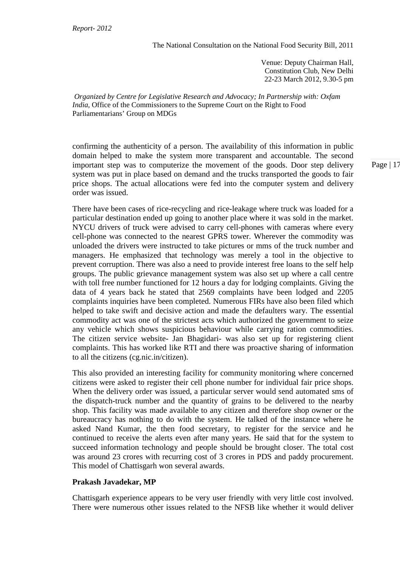Venue: Deputy Chairman Hall, Constitution Club, New Delhi 22-23 March 2012, 9.30-5 pm

*Organized by Centre for Legislative Research and Advocacy; In Partnership with: Oxfam India,* Office of the Commissioners to the Supreme Court on the Right to Food Parliamentarians' Group on MDGs

confirming the authenticity of a person. The availability of this information in public domain helped to make the system more transparent and accountable. The second important step was to computerize the movement of the goods. Door step delivery system was put in place based on demand and the trucks transported the goods to fair price shops. The actual allocations were fed into the computer system and delivery order was issued.

There have been cases of rice-recycling and rice-leakage where truck was loaded for a particular destination ended up going to another place where it was sold in the market. NYCU drivers of truck were advised to carry cell-phones with cameras where every cell-phone was connected to the nearest GPRS tower. Wherever the commodity was unloaded the drivers were instructed to take pictures or mms of the truck number and managers. He emphasized that technology was merely a tool in the objective to prevent corruption. There was also a need to provide interest free loans to the self help groups. The public grievance management system was also set up where a call centre with toll free number functioned for 12 hours a day for lodging complaints. Giving the data of 4 years back he stated that 2569 complaints have been lodged and 2205 complaints inquiries have been completed. Numerous FIRs have also been filed which helped to take swift and decisive action and made the defaulters wary. The essential commodity act was one of the strictest acts which authorized the government to seize any vehicle which shows suspicious behaviour while carrying ration commodities. The citizen service website- Jan Bhagidari- was also set up for registering client complaints. This has worked like RTI and there was proactive sharing of information to all the citizens (cg.nic.in/citizen).

This also provided an interesting facility for community monitoring where concerned citizens were asked to register their cell phone number for individual fair price shops. When the delivery order was issued, a particular server would send automated sms of the dispatch-truck number and the quantity of grains to be delivered to the nearby shop. This facility was made available to any citizen and therefore shop owner or the bureaucracy has nothing to do with the system. He talked of the instance where he asked Nand Kumar, the then food secretary, to register for the service and he continued to receive the alerts even after many years. He said that for the system to succeed information technology and people should be brought closer. The total cost was around 23 crores with recurring cost of 3 crores in PDS and paddy procurement. This model of Chattisgarh won several awards.

# **Prakash Javadekar, MP**

Chattisgarh experience appears to be very user friendly with very little cost involved. There were numerous other issues related to the NFSB like whether it would deliver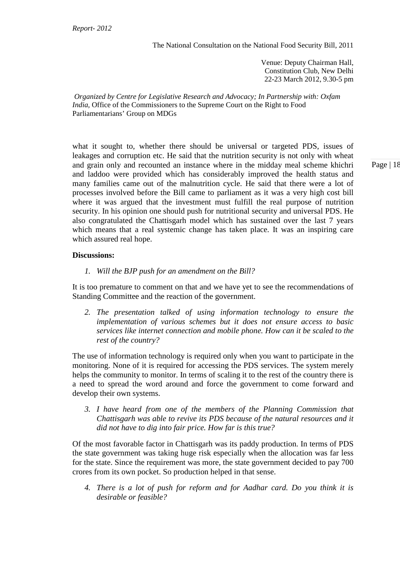Venue: Deputy Chairman Hall, Constitution Club, New Delhi 22-23 March 2012, 9.30-5 pm

*Organized by Centre for Legislative Research and Advocacy; In Partnership with: Oxfam India,* Office of the Commissioners to the Supreme Court on the Right to Food Parliamentarians' Group on MDGs

what it sought to, whether there should be universal or targeted PDS, issues of leakages and corruption etc. He said that the nutrition security is not only with wheat and grain only and recounted an instance where in the midday meal scheme khichri and laddoo were provided which has considerably improved the health status and many families came out of the malnutrition cycle. He said that there were a lot of processes involved before the Bill came to parliament as it was a very high cost bill where it was argued that the investment must fulfill the real purpose of nutrition security. In his opinion one should push for nutritional security and universal PDS. He also congratulated the Chattisgarh model which has sustained over the last 7 years which means that a real systemic change has taken place. It was an inspiring care which assured real hope.

#### **Discussions:**

*1. Will the BJP push for an amendment on the Bill?* 

It is too premature to comment on that and we have yet to see the recommendations of Standing Committee and the reaction of the government.

*2. The presentation talked of using information technology to ensure the implementation of various schemes but it does not ensure access to basic services like internet connection and mobile phone. How can it be scaled to the rest of the country?* 

The use of information technology is required only when you want to participate in the monitoring. None of it is required for accessing the PDS services. The system merely helps the community to monitor. In terms of scaling it to the rest of the country there is a need to spread the word around and force the government to come forward and develop their own systems.

*3. I have heard from one of the members of the Planning Commission that Chattisgarh was able to revive its PDS because of the natural resources and it did not have to dig into fair price. How far is this true?* 

Of the most favorable factor in Chattisgarh was its paddy production. In terms of PDS the state government was taking huge risk especially when the allocation was far less for the state. Since the requirement was more, the state government decided to pay 700 crores from its own pocket. So production helped in that sense.

*4. There is a lot of push for reform and for Aadhar card. Do you think it is desirable or feasible?*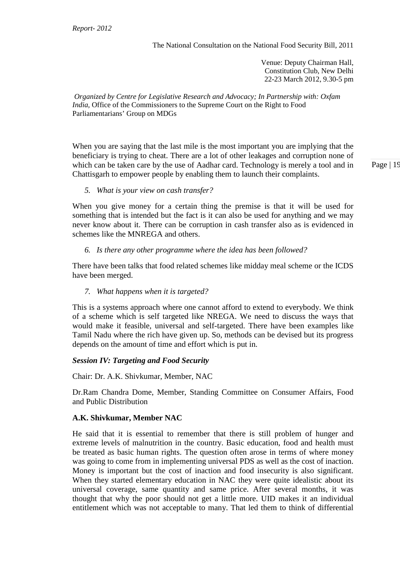Venue: Deputy Chairman Hall, Constitution Club, New Delhi 22-23 March 2012, 9.30-5 pm

*Organized by Centre for Legislative Research and Advocacy; In Partnership with: Oxfam India,* Office of the Commissioners to the Supreme Court on the Right to Food Parliamentarians' Group on MDGs

When you are saying that the last mile is the most important you are implying that the beneficiary is trying to cheat. There are a lot of other leakages and corruption none of which can be taken care by the use of Aadhar card. Technology is merely a tool and in Chattisgarh to empower people by enabling them to launch their complaints.

#### *5. What is your view on cash transfer?*

When you give money for a certain thing the premise is that it will be used for something that is intended but the fact is it can also be used for anything and we may never know about it. There can be corruption in cash transfer also as is evidenced in schemes like the MNREGA and others.

### *6. Is there any other programme where the idea has been followed?*

There have been talks that food related schemes like midday meal scheme or the ICDS have been merged.

#### *7. What happens when it is targeted?*

This is a systems approach where one cannot afford to extend to everybody. We think of a scheme which is self targeted like NREGA. We need to discuss the ways that would make it feasible, universal and self-targeted. There have been examples like Tamil Nadu where the rich have given up. So, methods can be devised but its progress depends on the amount of time and effort which is put in.

#### *Session IV: Targeting and Food Security*

Chair: Dr. A.K. Shivkumar, Member, NAC

Dr.Ram Chandra Dome, Member, Standing Committee on Consumer Affairs, Food and Public Distribution

#### **A.K. Shivkumar, Member NAC**

He said that it is essential to remember that there is still problem of hunger and extreme levels of malnutrition in the country. Basic education, food and health must be treated as basic human rights. The question often arose in terms of where money was going to come from in implementing universal PDS as well as the cost of inaction. Money is important but the cost of inaction and food insecurity is also significant. When they started elementary education in NAC they were quite idealistic about its universal coverage, same quantity and same price. After several months, it was thought that why the poor should not get a little more. UID makes it an individual entitlement which was not acceptable to many. That led them to think of differential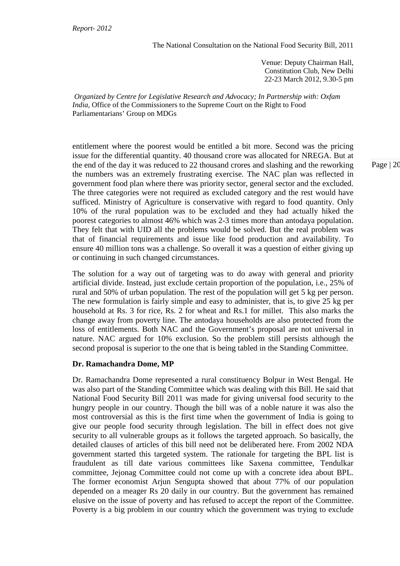Venue: Deputy Chairman Hall, Constitution Club, New Delhi 22-23 March 2012, 9.30-5 pm

*Organized by Centre for Legislative Research and Advocacy; In Partnership with: Oxfam India,* Office of the Commissioners to the Supreme Court on the Right to Food Parliamentarians' Group on MDGs

entitlement where the poorest would be entitled a bit more. Second was the pricing issue for the differential quantity. 40 thousand crore was allocated for NREGA. But at the end of the day it was reduced to 22 thousand crores and slashing and the reworking the numbers was an extremely frustrating exercise. The NAC plan was reflected in government food plan where there was priority sector, general sector and the excluded. The three categories were not required as excluded category and the rest would have sufficed. Ministry of Agriculture is conservative with regard to food quantity. Only 10% of the rural population was to be excluded and they had actually hiked the poorest categories to almost 46% which was 2-3 times more than antodaya population. They felt that with UID all the problems would be solved. But the real problem was that of financial requirements and issue like food production and availability. To ensure 40 million tons was a challenge. So overall it was a question of either giving up or continuing in such changed circumstances.

The solution for a way out of targeting was to do away with general and priority artificial divide. Instead, just exclude certain proportion of the population, i.e., 25% of rural and 50% of urban population. The rest of the population will get 5 kg per person. The new formulation is fairly simple and easy to administer, that is, to give 25 kg per household at Rs. 3 for rice, Rs. 2 for wheat and Rs.1 for millet. This also marks the change away from poverty line. The antodaya households are also protected from the loss of entitlements. Both NAC and the Government's proposal are not universal in nature. NAC argued for 10% exclusion. So the problem still persists although the second proposal is superior to the one that is being tabled in the Standing Committee.

# **Dr. Ramachandra Dome, MP**

Dr. Ramachandra Dome represented a rural constituency Bolpur in West Bengal. He was also part of the Standing Committee which was dealing with this Bill. He said that National Food Security Bill 2011 was made for giving universal food security to the hungry people in our country. Though the bill was of a noble nature it was also the most controversial as this is the first time when the government of India is going to give our people food security through legislation. The bill in effect does not give security to all vulnerable groups as it follows the targeted approach. So basically, the detailed clauses of articles of this bill need not be deliberated here. From 2002 NDA government started this targeted system. The rationale for targeting the BPL list is fraudulent as till date various committees like Saxena committee, Tendulkar committee, Jejonag Committee could not come up with a concrete idea about BPL. The former economist Arjun Sengupta showed that about 77% of our population depended on a meager Rs 20 daily in our country. But the government has remained elusive on the issue of poverty and has refused to accept the report of the Committee. Poverty is a big problem in our country which the government was trying to exclude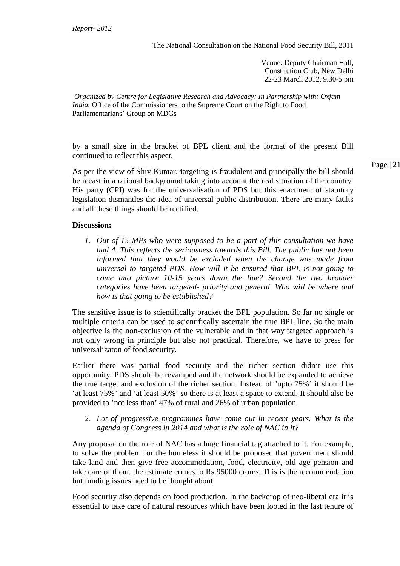Venue: Deputy Chairman Hall, Constitution Club, New Delhi 22-23 March 2012, 9.30-5 pm

*Organized by Centre for Legislative Research and Advocacy; In Partnership with: Oxfam India,* Office of the Commissioners to the Supreme Court on the Right to Food Parliamentarians' Group on MDGs

by a small size in the bracket of BPL client and the format of the present Bill continued to reflect this aspect.

As per the view of Shiv Kumar, targeting is fraudulent and principally the bill should be recast in a rational background taking into account the real situation of the country. His party (CPI) was for the universalisation of PDS but this enactment of statutory legislation dismantles the idea of universal public distribution. There are many faults and all these things should be rectified.

### **Discussion:**

*1. Out of 15 MPs who were supposed to be a part of this consultation we have had 4. This reflects the seriousness towards this Bill. The public has not been informed that they would be excluded when the change was made from universal to targeted PDS. How will it be ensured that BPL is not going to come into picture 10-15 years down the line? Second the two broader categories have been targeted- priority and general. Who will be where and how is that going to be established?* 

The sensitive issue is to scientifically bracket the BPL population. So far no single or multiple criteria can be used to scientifically ascertain the true BPL line. So the main objective is the non-exclusion of the vulnerable and in that way targeted approach is not only wrong in principle but also not practical. Therefore, we have to press for universalizaton of food security.

Earlier there was partial food security and the richer section didn't use this opportunity. PDS should be revamped and the network should be expanded to achieve the true target and exclusion of the richer section. Instead of 'upto 75%' it should be 'at least 75%' and 'at least 50%' so there is at least a space to extend. It should also be provided to 'not less than' 47% of rural and 26% of urban population.

#### *2. Lot of progressive programmes have come out in recent years. What is the agenda of Congress in 2014 and what is the role of NAC in it?*

Any proposal on the role of NAC has a huge financial tag attached to it. For example, to solve the problem for the homeless it should be proposed that government should take land and then give free accommodation, food, electricity, old age pension and take care of them, the estimate comes to Rs 95000 crores. This is the recommendation but funding issues need to be thought about.

Food security also depends on food production. In the backdrop of neo-liberal era it is essential to take care of natural resources which have been looted in the last tenure of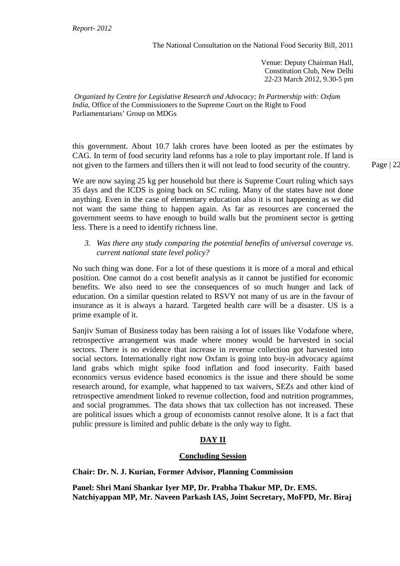Venue: Deputy Chairman Hall, Constitution Club, New Delhi 22-23 March 2012, 9.30-5 pm

*Organized by Centre for Legislative Research and Advocacy; In Partnership with: Oxfam India,* Office of the Commissioners to the Supreme Court on the Right to Food Parliamentarians' Group on MDGs

this government. About 10.7 lakh crores have been looted as per the estimates by CAG. In term of food security land reforms has a role to play important role. If land is not given to the farmers and tillers then it will not lead to food security of the country.

We are now saying 25 kg per household but there is Supreme Court ruling which says 35 days and the ICDS is going back on SC ruling. Many of the states have not done anything. Even in the case of elementary education also it is not happening as we did not want the same thing to happen again. As far as resources are concerned the government seems to have enough to build walls but the prominent sector is getting less. There is a need to identify richness line.

*3. Was there any study comparing the potential benefits of universal coverage vs. current national state level policy?* 

No such thing was done. For a lot of these questions it is more of a moral and ethical position. One cannot do a cost benefit analysis as it cannot be justified for economic benefits. We also need to see the consequences of so much hunger and lack of education. On a similar question related to RSVY not many of us are in the favour of insurance as it is always a hazard. Targeted health care will be a disaster. US is a prime example of it.

Sanjiv Suman of Business today has been raising a lot of issues like Vodafone where, retrospective arrangement was made where money would be harvested in social sectors. There is no evidence that increase in revenue collection got harvested into social sectors. Internationally right now Oxfam is going into buy-in advocacy against land grabs which might spike food inflation and food insecurity. Faith based economics versus evidence based economics is the issue and there should be some research around, for example, what happened to tax waivers, SEZs and other kind of retrospective amendment linked to revenue collection, food and nutrition programmes, and social programmes. The data shows that tax collection has not increased. These are political issues which a group of economists cannot resolve alone. It is a fact that public pressure is limited and public debate is the only way to fight.

# **DAY II**

#### **Concluding Session**

**Chair: Dr. N. J. Kurian, Former Advisor, Planning Commission** 

**Panel: Shri Mani Shankar Iyer MP, Dr. Prabha Thakur MP, Dr. EMS. Natchiyappan MP, Mr. Naveen Parkash IAS, Joint Secretary, MoFPD, Mr. Biraj**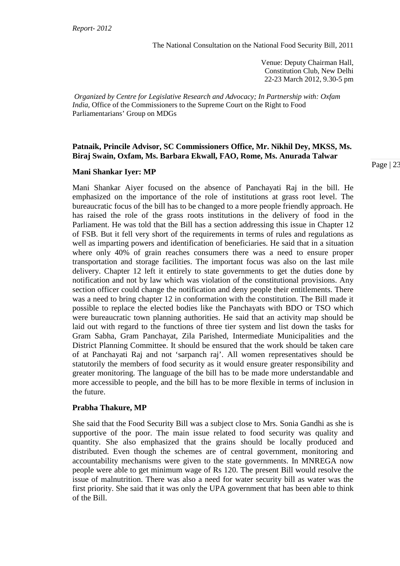Venue: Deputy Chairman Hall, Constitution Club, New Delhi 22-23 March 2012, 9.30-5 pm

*Organized by Centre for Legislative Research and Advocacy; In Partnership with: Oxfam India,* Office of the Commissioners to the Supreme Court on the Right to Food Parliamentarians' Group on MDGs

#### **Patnaik, Princile Advisor, SC Commissioners Office, Mr. Nikhil Dey, MKSS, Ms. Biraj Swain, Oxfam, Ms. Barbara Ekwall, FAO, Rome, Ms. Anurada Talwar**

#### **Mani Shankar Iyer: MP**

Mani Shankar Aiyer focused on the absence of Panchayati Raj in the bill. He emphasized on the importance of the role of institutions at grass root level. The bureaucratic focus of the bill has to be changed to a more people friendly approach. He has raised the role of the grass roots institutions in the delivery of food in the Parliament. He was told that the Bill has a section addressing this issue in Chapter 12 of FSB. But it fell very short of the requirements in terms of rules and regulations as well as imparting powers and identification of beneficiaries. He said that in a situation where only 40% of grain reaches consumers there was a need to ensure proper transportation and storage facilities. The important focus was also on the last mile delivery. Chapter 12 left it entirely to state governments to get the duties done by notification and not by law which was violation of the constitutional provisions. Any section officer could change the notification and deny people their entitlements. There was a need to bring chapter 12 in conformation with the constitution. The Bill made it possible to replace the elected bodies like the Panchayats with BDO or TSO which were bureaucratic town planning authorities. He said that an activity map should be laid out with regard to the functions of three tier system and list down the tasks for Gram Sabha, Gram Panchayat, Zila Parished, Intermediate Municipalities and the District Planning Committee. It should be ensured that the work should be taken care of at Panchayati Raj and not 'sarpanch raj'. All women representatives should be statutorily the members of food security as it would ensure greater responsibility and greater monitoring. The language of the bill has to be made more understandable and more accessible to people, and the bill has to be more flexible in terms of inclusion in the future.

#### **Prabha Thakure, MP**

She said that the Food Security Bill was a subject close to Mrs. Sonia Gandhi as she is supportive of the poor. The main issue related to food security was quality and quantity. She also emphasized that the grains should be locally produced and distributed. Even though the schemes are of central government, monitoring and accountability mechanisms were given to the state governments. In MNREGA now people were able to get minimum wage of Rs 120. The present Bill would resolve the issue of malnutrition. There was also a need for water security bill as water was the first priority. She said that it was only the UPA government that has been able to think of the Bill.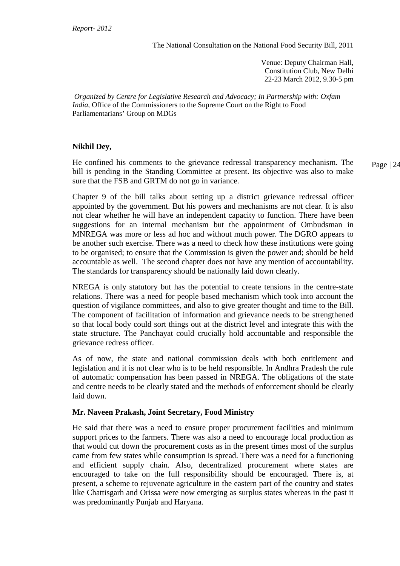Venue: Deputy Chairman Hall, Constitution Club, New Delhi 22-23 March 2012, 9.30-5 pm

*Organized by Centre for Legislative Research and Advocacy; In Partnership with: Oxfam India,* Office of the Commissioners to the Supreme Court on the Right to Food Parliamentarians' Group on MDGs

### **Nikhil Dey,**

He confined his comments to the grievance redressal transparency mechanism. The bill is pending in the Standing Committee at present. Its objective was also to make sure that the FSB and GRTM do not go in variance.

Chapter 9 of the bill talks about setting up a district grievance redressal officer appointed by the government. But his powers and mechanisms are not clear. It is also not clear whether he will have an independent capacity to function. There have been suggestions for an internal mechanism but the appointment of Ombudsman in MNREGA was more or less ad hoc and without much power. The DGRO appears to be another such exercise. There was a need to check how these institutions were going to be organised; to ensure that the Commission is given the power and; should be held accountable as well. The second chapter does not have any mention of accountability. The standards for transparency should be nationally laid down clearly.

NREGA is only statutory but has the potential to create tensions in the centre-state relations. There was a need for people based mechanism which took into account the question of vigilance committees, and also to give greater thought and time to the Bill. The component of facilitation of information and grievance needs to be strengthened so that local body could sort things out at the district level and integrate this with the state structure. The Panchayat could crucially hold accountable and responsible the grievance redress officer.

As of now, the state and national commission deals with both entitlement and legislation and it is not clear who is to be held responsible. In Andhra Pradesh the rule of automatic compensation has been passed in NREGA. The obligations of the state and centre needs to be clearly stated and the methods of enforcement should be clearly laid down.

# **Mr. Naveen Prakash, Joint Secretary, Food Ministry**

He said that there was a need to ensure proper procurement facilities and minimum support prices to the farmers. There was also a need to encourage local production as that would cut down the procurement costs as in the present times most of the surplus came from few states while consumption is spread. There was a need for a functioning and efficient supply chain. Also, decentralized procurement where states are encouraged to take on the full responsibility should be encouraged. There is, at present, a scheme to rejuvenate agriculture in the eastern part of the country and states like Chattisgarh and Orissa were now emerging as surplus states whereas in the past it was predominantly Punjab and Haryana.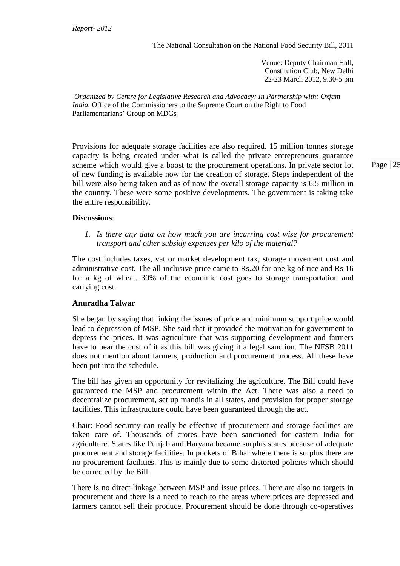Venue: Deputy Chairman Hall, Constitution Club, New Delhi 22-23 March 2012, 9.30-5 pm

*Organized by Centre for Legislative Research and Advocacy; In Partnership with: Oxfam India,* Office of the Commissioners to the Supreme Court on the Right to Food Parliamentarians' Group on MDGs

Provisions for adequate storage facilities are also required. 15 million tonnes storage capacity is being created under what is called the private entrepreneurs guarantee scheme which would give a boost to the procurement operations. In private sector lot of new funding is available now for the creation of storage. Steps independent of the bill were also being taken and as of now the overall storage capacity is 6.5 million in the country. These were some positive developments. The government is taking take the entire responsibility.

Page | 25

#### **Discussions**:

*1. Is there any data on how much you are incurring cost wise for procurement transport and other subsidy expenses per kilo of the material?* 

The cost includes taxes, vat or market development tax, storage movement cost and administrative cost. The all inclusive price came to Rs.20 for one kg of rice and Rs 16 for a kg of wheat. 30% of the economic cost goes to storage transportation and carrying cost.

#### **Anuradha Talwar**

She began by saying that linking the issues of price and minimum support price would lead to depression of MSP. She said that it provided the motivation for government to depress the prices. It was agriculture that was supporting development and farmers have to bear the cost of it as this bill was giving it a legal sanction. The NFSB 2011 does not mention about farmers, production and procurement process. All these have been put into the schedule.

The bill has given an opportunity for revitalizing the agriculture. The Bill could have guaranteed the MSP and procurement within the Act. There was also a need to decentralize procurement, set up mandis in all states, and provision for proper storage facilities. This infrastructure could have been guaranteed through the act.

Chair: Food security can really be effective if procurement and storage facilities are taken care of. Thousands of crores have been sanctioned for eastern India for agriculture. States like Punjab and Haryana became surplus states because of adequate procurement and storage facilities. In pockets of Bihar where there is surplus there are no procurement facilities. This is mainly due to some distorted policies which should be corrected by the Bill.

There is no direct linkage between MSP and issue prices. There are also no targets in procurement and there is a need to reach to the areas where prices are depressed and farmers cannot sell their produce. Procurement should be done through co-operatives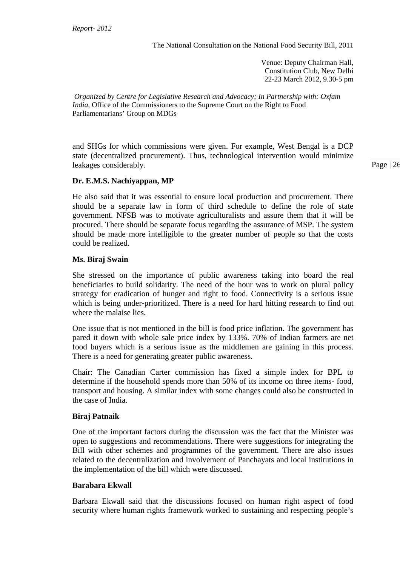Venue: Deputy Chairman Hall, Constitution Club, New Delhi 22-23 March 2012, 9.30-5 pm

*Organized by Centre for Legislative Research and Advocacy; In Partnership with: Oxfam India,* Office of the Commissioners to the Supreme Court on the Right to Food Parliamentarians' Group on MDGs

and SHGs for which commissions were given. For example, West Bengal is a DCP state (decentralized procurement). Thus, technological intervention would minimize leakages considerably.

### **Dr. E.M.S. Nachiyappan, MP**

He also said that it was essential to ensure local production and procurement. There should be a separate law in form of third schedule to define the role of state government. NFSB was to motivate agriculturalists and assure them that it will be procured. There should be separate focus regarding the assurance of MSP. The system should be made more intelligible to the greater number of people so that the costs could be realized.

#### **Ms. Biraj Swain**

She stressed on the importance of public awareness taking into board the real beneficiaries to build solidarity. The need of the hour was to work on plural policy strategy for eradication of hunger and right to food. Connectivity is a serious issue which is being under-prioritized. There is a need for hard hitting research to find out where the malaise lies.

One issue that is not mentioned in the bill is food price inflation. The government has pared it down with whole sale price index by 133%. 70% of Indian farmers are net food buyers which is a serious issue as the middlemen are gaining in this process. There is a need for generating greater public awareness.

Chair: The Canadian Carter commission has fixed a simple index for BPL to determine if the household spends more than 50% of its income on three items- food, transport and housing. A similar index with some changes could also be constructed in the case of India.

#### **Biraj Patnaik**

One of the important factors during the discussion was the fact that the Minister was open to suggestions and recommendations. There were suggestions for integrating the Bill with other schemes and programmes of the government. There are also issues related to the decentralization and involvement of Panchayats and local institutions in the implementation of the bill which were discussed.

#### **Barabara Ekwall**

Barbara Ekwall said that the discussions focused on human right aspect of food security where human rights framework worked to sustaining and respecting people's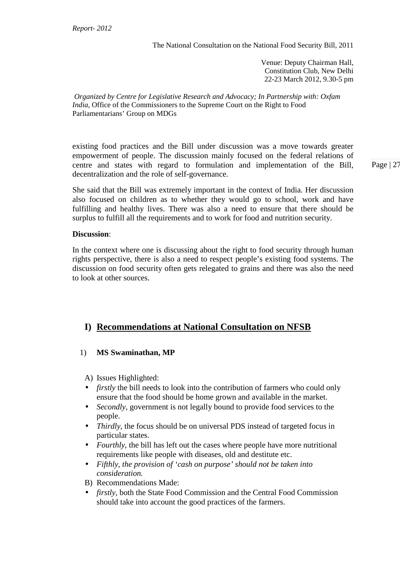Venue: Deputy Chairman Hall, Constitution Club, New Delhi 22-23 March 2012, 9.30-5 pm

*Organized by Centre for Legislative Research and Advocacy; In Partnership with: Oxfam India,* Office of the Commissioners to the Supreme Court on the Right to Food Parliamentarians' Group on MDGs

existing food practices and the Bill under discussion was a move towards greater empowerment of people. The discussion mainly focused on the federal relations of centre and states with regard to formulation and implementation of the Bill, decentralization and the role of self-governance.

She said that the Bill was extremely important in the context of India. Her discussion also focused on children as to whether they would go to school, work and have fulfilling and healthy lives. There was also a need to ensure that there should be surplus to fulfill all the requirements and to work for food and nutrition security.

### **Discussion**:

In the context where one is discussing about the right to food security through human rights perspective, there is also a need to respect people's existing food systems. The discussion on food security often gets relegated to grains and there was also the need to look at other sources.

# **I) Recommendations at National Consultation on NFSB**

# 1) **MS Swaminathan, MP**

A) Issues Highlighted:

- *firstly* the bill needs to look into the contribution of farmers who could only ensure that the food should be home grown and available in the market.
- *Secondly*, government is not legally bound to provide food services to the people.
- *Thirdly*, the focus should be on universal PDS instead of targeted focus in particular states.
- *Fourthly*, the bill has left out the cases where people have more nutritional requirements like people with diseases, old and destitute etc.
- *Fifthly, the provision of 'cash on purpose' should not be taken into consideration.*
- B) Recommendations Made:
- *firstly*, both the State Food Commission and the Central Food Commission should take into account the good practices of the farmers.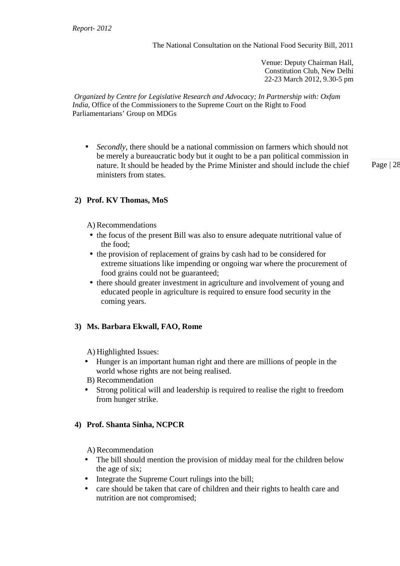Venue: Deputy Chairman Hall, Constitution Club, New Delhi 22-23 March 2012, 9.30-5 pm

*Organized by Centre for Legislative Research and Advocacy; In Partnership with: Oxfam India,* Office of the Commissioners to the Supreme Court on the Right to Food Parliamentarians' Group on MDGs

• *Secondly*, there should be a national commission on farmers which should not be merely a bureaucratic body but it ought to be a pan political commission in nature. It should be headed by the Prime Minister and should include the chief ministers from states.

Page | 28

# **2) Prof. KV Thomas, MoS**

A) Recommendations

- the focus of the present Bill was also to ensure adequate nutritional value of the food;
- the provision of replacement of grains by cash had to be considered for extreme situations like impending or ongoing war where the procurement of food grains could not be guaranteed;
- there should greater investment in agriculture and involvement of young and educated people in agriculture is required to ensure food security in the coming years.

# **3) Ms. Barbara Ekwall, FAO, Rome**

A) Highlighted Issues:

- Hunger is an important human right and there are millions of people in the world whose rights are not being realised.
- B) Recommendation
- Strong political will and leadership is required to realise the right to freedom from hunger strike.

#### **4) Prof. Shanta Sinha, NCPCR**

A) Recommendation

- The bill should mention the provision of midday meal for the children below the age of six;
- Integrate the Supreme Court rulings into the bill;
- care should be taken that care of children and their rights to health care and nutrition are not compromised;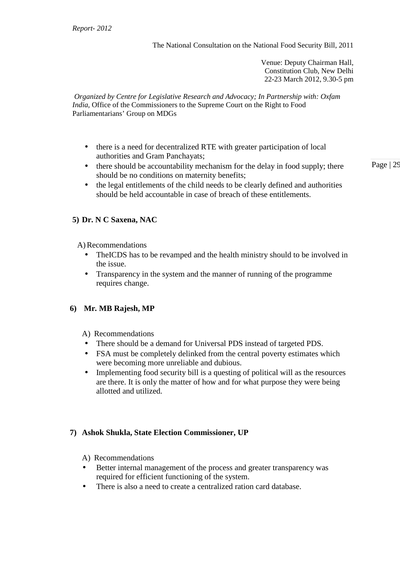Venue: Deputy Chairman Hall, Constitution Club, New Delhi 22-23 March 2012, 9.30-5 pm

*Organized by Centre for Legislative Research and Advocacy; In Partnership with: Oxfam India,* Office of the Commissioners to the Supreme Court on the Right to Food Parliamentarians' Group on MDGs

- there is a need for decentralized RTE with greater participation of local authorities and Gram Panchayats;
- Page | 29 • there should be accountability mechanism for the delay in food supply; there should be no conditions on maternity benefits;
- the legal entitlements of the child needs to be clearly defined and authorities should be held accountable in case of breach of these entitlements.

# **5) Dr. N C Saxena, NAC**

A)Recommendations

- The ICDS has to be revamped and the health ministry should to be involved in the issue.
- Transparency in the system and the manner of running of the programme requires change.

# **6) Mr***.* **MB Rajesh, MP**

- A) Recommendations
- There should be a demand for Universal PDS instead of targeted PDS.
- FSA must be completely delinked from the central poverty estimates which were becoming more unreliable and dubious.
- Implementing food security bill is a questing of political will as the resources are there. It is only the matter of how and for what purpose they were being allotted and utilized.

# **7) Ashok Shukla, State Election Commissioner, UP**

A) Recommendations

- Better internal management of the process and greater transparency was required for efficient functioning of the system.
- There is also a need to create a centralized ration card database.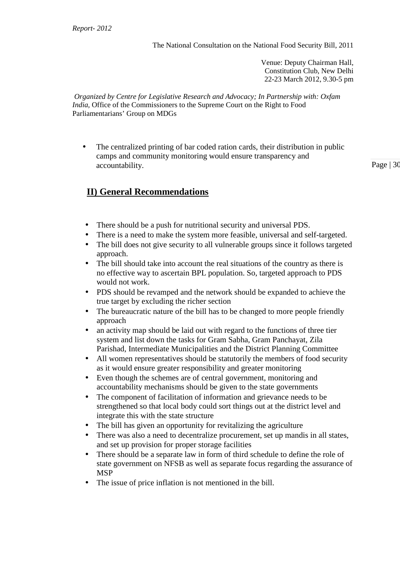Venue: Deputy Chairman Hall, Constitution Club, New Delhi 22-23 March 2012, 9.30-5 pm

*Organized by Centre for Legislative Research and Advocacy; In Partnership with: Oxfam India,* Office of the Commissioners to the Supreme Court on the Right to Food Parliamentarians' Group on MDGs

• The centralized printing of bar coded ration cards, their distribution in public camps and community monitoring would ensure transparency and accountability.

Page | 30

# **II) General Recommendations**

- There should be a push for nutritional security and universal PDS.
- There is a need to make the system more feasible, universal and self-targeted.
- The bill does not give security to all vulnerable groups since it follows targeted approach.
- The bill should take into account the real situations of the country as there is no effective way to ascertain BPL population. So, targeted approach to PDS would not work.
- PDS should be revamped and the network should be expanded to achieve the true target by excluding the richer section
- The bureaucratic nature of the bill has to be changed to more people friendly approach
- an activity map should be laid out with regard to the functions of three tier system and list down the tasks for Gram Sabha, Gram Panchayat, Zila Parishad, Intermediate Municipalities and the District Planning Committee
- All women representatives should be statutorily the members of food security as it would ensure greater responsibility and greater monitoring
- Even though the schemes are of central government, monitoring and accountability mechanisms should be given to the state governments
- The component of facilitation of information and grievance needs to be strengthened so that local body could sort things out at the district level and integrate this with the state structure
- The bill has given an opportunity for revitalizing the agriculture
- There was also a need to decentralize procurement, set up mandis in all states, and set up provision for proper storage facilities
- There should be a separate law in form of third schedule to define the role of state government on NFSB as well as separate focus regarding the assurance of MSP
- The issue of price inflation is not mentioned in the bill.